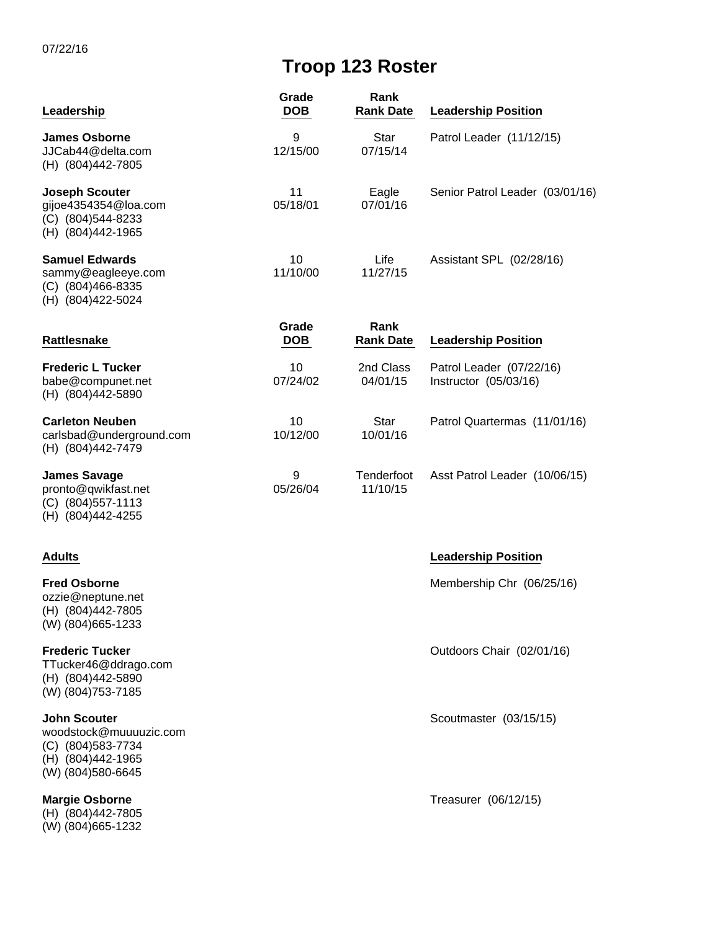07/22/16

# **Troop 123 Roster**

| Leadership                                                                                                      | Grade<br><b>DOB</b> | Rank<br><b>Rank Date</b> | <b>Leadership Position</b>                        |
|-----------------------------------------------------------------------------------------------------------------|---------------------|--------------------------|---------------------------------------------------|
| <b>James Osborne</b><br>JJCab44@delta.com<br>(H) (804)442-7805                                                  | 9<br>12/15/00       | <b>Star</b><br>07/15/14  | Patrol Leader (11/12/15)                          |
| <b>Joseph Scouter</b><br>gijoe4354354@loa.com<br>(C) (804)544-8233<br>(H) (804)442-1965                         | 11<br>05/18/01      | Eagle<br>07/01/16        | Senior Patrol Leader (03/01/16)                   |
| <b>Samuel Edwards</b><br>sammy@eagleeye.com<br>$(C)$ (804)466-8335<br>(H) (804) 422-5024                        | 10<br>11/10/00      | Life<br>11/27/15         | Assistant SPL (02/28/16)                          |
| Rattlesnake                                                                                                     | Grade<br><b>DOB</b> | Rank<br><b>Rank Date</b> | <b>Leadership Position</b>                        |
| <b>Frederic L Tucker</b><br>babe@compunet.net<br>(H) (804)442-5890                                              | 10<br>07/24/02      | 2nd Class<br>04/01/15    | Patrol Leader (07/22/16)<br>Instructor (05/03/16) |
| <b>Carleton Neuben</b><br>carlsbad@underground.com<br>(H) (804)442-7479                                         | 10<br>10/12/00      | <b>Star</b><br>10/01/16  | Patrol Quartermas (11/01/16)                      |
| <b>James Savage</b><br>pronto@qwikfast.net<br>(C) (804) 557-1113<br>(H) (804)442-4255                           | 9<br>05/26/04       | Tenderfoot<br>11/10/15   | Asst Patrol Leader (10/06/15)                     |
| <b>Adults</b>                                                                                                   |                     |                          | <b>Leadership Position</b>                        |
| <b>Fred Osborne</b><br>ozzie@neptune.net<br>(H) (804)442-7805<br>(W) (804) 665-1233                             |                     |                          | Membership Chr (06/25/16)                         |
| <b>Frederic Tucker</b><br>TTucker46@ddrago.com<br>(H) (804)442-5890<br>(W) (804) 753-7185                       |                     |                          | Outdoors Chair (02/01/16)                         |
| <b>John Scouter</b><br>woodstock@muuuuzic.com<br>(C) (804) 583-7734<br>(H) (804) 442-1965<br>(W) (804) 580-6645 |                     |                          | Scoutmaster (03/15/15)                            |
| <b>Margie Osborne</b><br>(H) (804)442-7805<br>(W) (804) 665-1232                                                |                     |                          | Treasurer (06/12/15)                              |